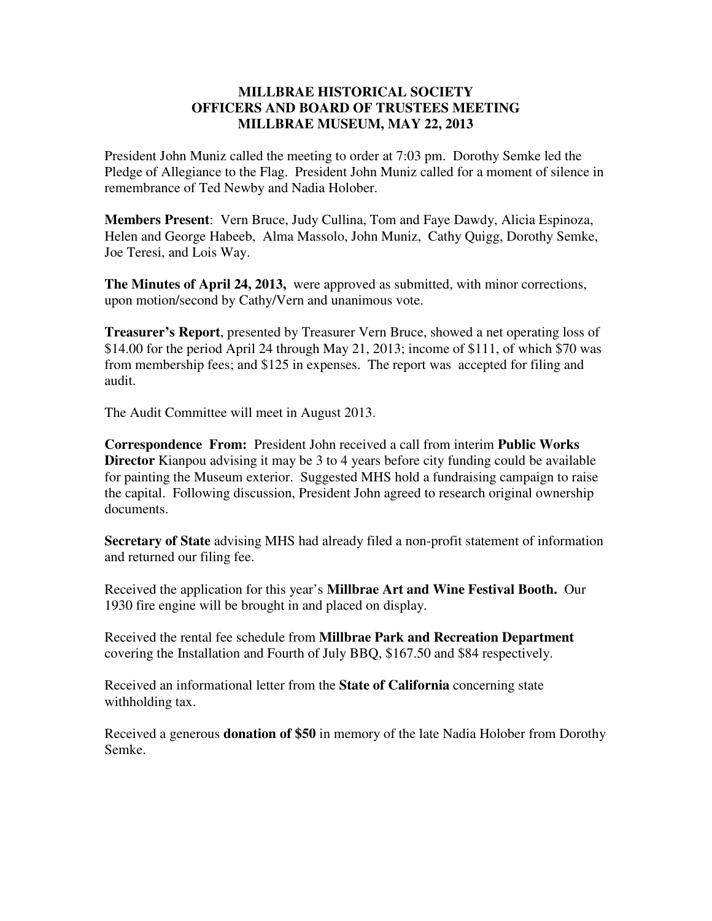## **MILLBRAE HISTORICAL SOCIETY OFFICERS AND BOARD OF TRUSTEES MEETING MILLBRAE MUSEUM, MAY 22, 2013**

President John Muniz called the meeting to order at 7:03 pm. Dorothy Semke led the Pledge of Allegiance to the Flag. President John Muniz called for a moment of silence in remembrance of Ted Newby and Nadia Holober.

**Members Present**: Vern Bruce, Judy Cullina, Tom and Faye Dawdy, Alicia Espinoza, Helen and George Habeeb, Alma Massolo, John Muniz, Cathy Quigg, Dorothy Semke, Joe Teresi, and Lois Way.

**The Minutes of April 24, 2013,** were approved as submitted, with minor corrections, upon motion/second by Cathy/Vern and unanimous vote.

**Treasurer's Report**, presented by Treasurer Vern Bruce, showed a net operating loss of \$14.00 for the period April 24 through May 21, 2013; income of \$111, of which \$70 was from membership fees; and \$125 in expenses. The report was accepted for filing and audit.

The Audit Committee will meet in August 2013.

**Correspondence From:** President John received a call from interim **Public Works Director** Kianpou advising it may be 3 to 4 years before city funding could be available for painting the Museum exterior. Suggested MHS hold a fundraising campaign to raise the capital. Following discussion, President John agreed to research original ownership documents.

**Secretary of State** advising MHS had already filed a non-profit statement of information and returned our filing fee.

Received the application for this year's **Millbrae Art and Wine Festival Booth.** Our 1930 fire engine will be brought in and placed on display.

Received the rental fee schedule from **Millbrae Park and Recreation Department** covering the Installation and Fourth of July BBQ, \$167.50 and \$84 respectively.

Received an informational letter from the **State of California** concerning state withholding tax.

Received a generous **donation of \$50** in memory of the late Nadia Holober from Dorothy Semke.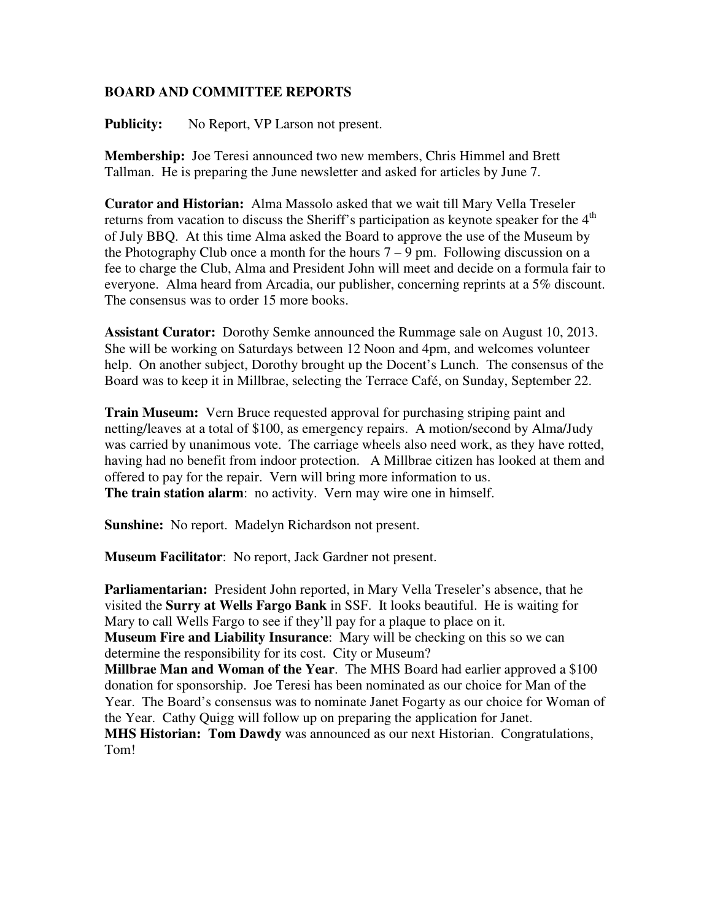## **BOARD AND COMMITTEE REPORTS**

Publicity: No Report, VP Larson not present.

**Membership:** Joe Teresi announced two new members, Chris Himmel and Brett Tallman. He is preparing the June newsletter and asked for articles by June 7.

**Curator and Historian:** Alma Massolo asked that we wait till Mary Vella Treseler returns from vacation to discuss the Sheriff's participation as keynote speaker for the 4<sup>th</sup> of July BBQ. At this time Alma asked the Board to approve the use of the Museum by the Photography Club once a month for the hours  $7 - 9$  pm. Following discussion on a fee to charge the Club, Alma and President John will meet and decide on a formula fair to everyone. Alma heard from Arcadia, our publisher, concerning reprints at a 5% discount. The consensus was to order 15 more books.

**Assistant Curator:** Dorothy Semke announced the Rummage sale on August 10, 2013. She will be working on Saturdays between 12 Noon and 4pm, and welcomes volunteer help. On another subject, Dorothy brought up the Docent's Lunch. The consensus of the Board was to keep it in Millbrae, selecting the Terrace Café, on Sunday, September 22.

**Train Museum:** Vern Bruce requested approval for purchasing striping paint and netting/leaves at a total of \$100, as emergency repairs. A motion/second by Alma/Judy was carried by unanimous vote. The carriage wheels also need work, as they have rotted, having had no benefit from indoor protection. A Millbrae citizen has looked at them and offered to pay for the repair. Vern will bring more information to us. **The train station alarm:** no activity. Vern may wire one in himself.

**Sunshine:** No report. Madelyn Richardson not present.

**Museum Facilitator**: No report, Jack Gardner not present.

**Parliamentarian:** President John reported, in Mary Vella Treseler's absence, that he visited the **Surry at Wells Fargo Bank** in SSF. It looks beautiful. He is waiting for Mary to call Wells Fargo to see if they'll pay for a plaque to place on it. **Museum Fire and Liability Insurance**: Mary will be checking on this so we can determine the responsibility for its cost. City or Museum? **Millbrae Man and Woman of the Year**. The MHS Board had earlier approved a \$100 donation for sponsorship. Joe Teresi has been nominated as our choice for Man of the Year. The Board's consensus was to nominate Janet Fogarty as our choice for Woman of the Year. Cathy Quigg will follow up on preparing the application for Janet. **MHS Historian: Tom Dawdy** was announced as our next Historian. Congratulations, Tom!